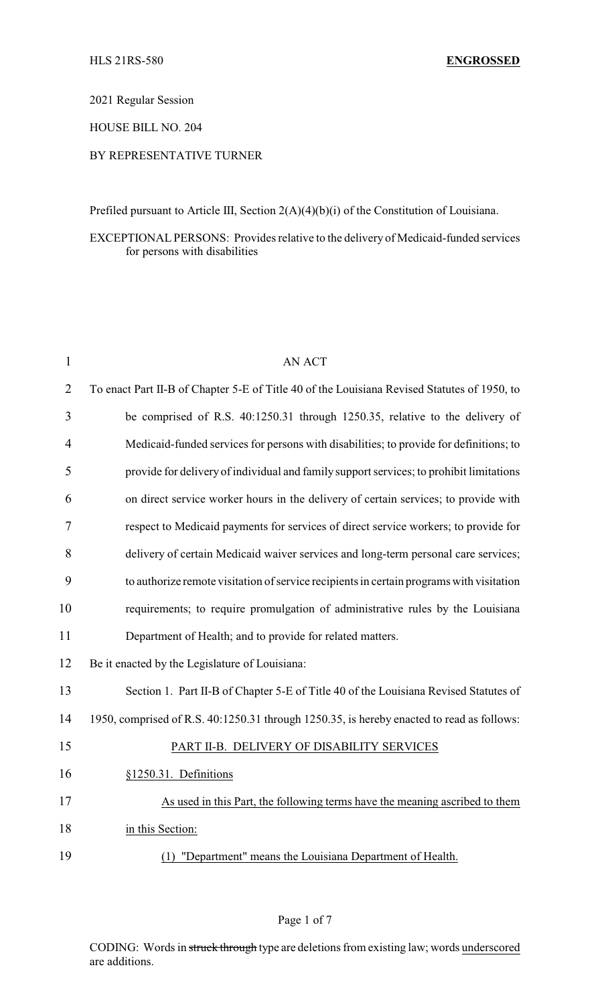2021 Regular Session

HOUSE BILL NO. 204

## BY REPRESENTATIVE TURNER

Prefiled pursuant to Article III, Section 2(A)(4)(b)(i) of the Constitution of Louisiana.

### EXCEPTIONAL PERSONS: Provides relative to the delivery of Medicaid-funded services for persons with disabilities

| $\mathbf{1}$   | <b>AN ACT</b>                                                                               |
|----------------|---------------------------------------------------------------------------------------------|
| $\overline{2}$ | To enact Part II-B of Chapter 5-E of Title 40 of the Louisiana Revised Statutes of 1950, to |
| 3              | be comprised of R.S. 40:1250.31 through 1250.35, relative to the delivery of                |
| $\overline{4}$ | Medicaid-funded services for persons with disabilities; to provide for definitions; to      |
| 5              | provide for delivery of individual and family support services; to prohibit limitations     |
| 6              | on direct service worker hours in the delivery of certain services; to provide with         |
| 7              | respect to Medicaid payments for services of direct service workers; to provide for         |
| 8              | delivery of certain Medicaid waiver services and long-term personal care services;          |
| 9              | to authorize remote visitation of service recipients in certain programs with visitation    |
| 10             | requirements; to require promulgation of administrative rules by the Louisiana              |
| 11             | Department of Health; and to provide for related matters.                                   |
| 12             | Be it enacted by the Legislature of Louisiana:                                              |
| 13             | Section 1. Part II-B of Chapter 5-E of Title 40 of the Louisiana Revised Statutes of        |
| 14             | 1950, comprised of R.S. 40:1250.31 through 1250.35, is hereby enacted to read as follows:   |
| 15             | PART II-B. DELIVERY OF DISABILITY SERVICES                                                  |
| 16             | §1250.31. Definitions                                                                       |
| 17             | As used in this Part, the following terms have the meaning ascribed to them                 |
| 18             | in this Section:                                                                            |
| 19             | (1) "Department" means the Louisiana Department of Health.                                  |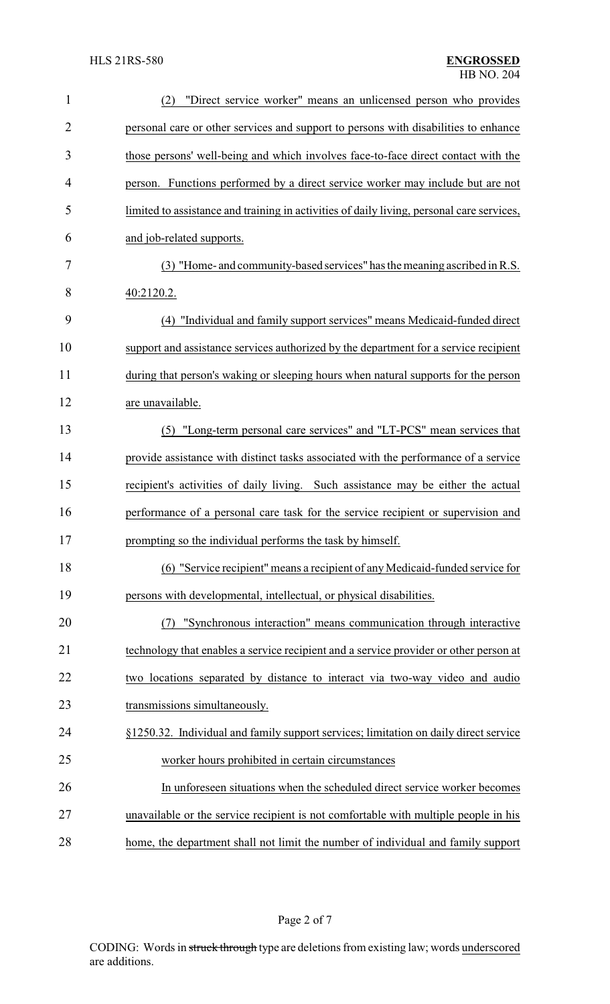| $\mathbf{1}$ | "Direct service worker" means an unlicensed person who provides<br>(2)                    |
|--------------|-------------------------------------------------------------------------------------------|
| 2            | personal care or other services and support to persons with disabilities to enhance       |
| 3            | those persons' well-being and which involves face-to-face direct contact with the         |
| 4            | person. Functions performed by a direct service worker may include but are not            |
| 5            | limited to assistance and training in activities of daily living, personal care services, |
| 6            | and job-related supports.                                                                 |
| 7            | (3) "Home- and community-based services" has the meaning ascribed in R.S.                 |
| 8            | 40:2120.2.                                                                                |
| 9            | (4) "Individual and family support services" means Medicaid-funded direct                 |
| 10           | support and assistance services authorized by the department for a service recipient      |
| 11           | during that person's waking or sleeping hours when natural supports for the person        |
| 12           | are unavailable.                                                                          |
| 13           | (5) "Long-term personal care services" and "LT-PCS" mean services that                    |
| 14           | provide assistance with distinct tasks associated with the performance of a service       |
| 15           | recipient's activities of daily living. Such assistance may be either the actual          |
| 16           | performance of a personal care task for the service recipient or supervision and          |
| 17           | prompting so the individual performs the task by himself.                                 |
| 18           | (6) "Service recipient" means a recipient of any Medicaid-funded service for              |
| 19           | persons with developmental, intellectual, or physical disabilities.                       |
| 20           | "Synchronous interaction" means communication through interactive<br>(7)                  |
| 21           | technology that enables a service recipient and a service provider or other person at     |
| 22           | two locations separated by distance to interact via two-way video and audio               |
| 23           | transmissions simultaneously.                                                             |
| 24           | §1250.32. Individual and family support services; limitation on daily direct service      |
| 25           | worker hours prohibited in certain circumstances                                          |
| 26           | In unforeseen situations when the scheduled direct service worker becomes                 |
| 27           | unavailable or the service recipient is not comfortable with multiple people in his       |
| 28           | home, the department shall not limit the number of individual and family support          |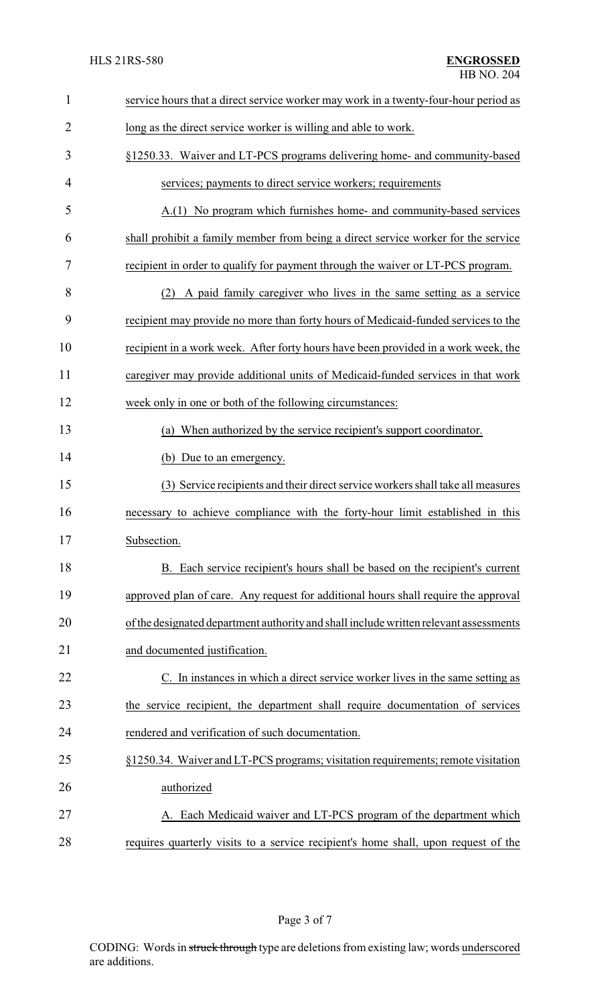| $\mathbf{1}$   | service hours that a direct service worker may work in a twenty-four-hour period as   |
|----------------|---------------------------------------------------------------------------------------|
| $\overline{2}$ | long as the direct service worker is willing and able to work.                        |
| 3              | §1250.33. Waiver and LT-PCS programs delivering home- and community-based             |
| 4              | services; payments to direct service workers; requirements                            |
| 5              | A.(1) No program which furnishes home- and community-based services                   |
| 6              | shall prohibit a family member from being a direct service worker for the service     |
| 7              | recipient in order to qualify for payment through the waiver or LT-PCS program.       |
| 8              | (2) A paid family caregiver who lives in the same setting as a service                |
| 9              | recipient may provide no more than forty hours of Medicaid-funded services to the     |
| 10             | recipient in a work week. After forty hours have been provided in a work week, the    |
| 11             | caregiver may provide additional units of Medicaid-funded services in that work       |
| 12             | week only in one or both of the following circumstances:                              |
| 13             | (a) When authorized by the service recipient's support coordinator.                   |
| 14             | (b) Due to an emergency.                                                              |
| 15             | (3) Service recipients and their direct service workers shall take all measures       |
| 16             | necessary to achieve compliance with the forty-hour limit established in this         |
| 17             | Subsection.                                                                           |
| 18             | B. Each service recipient's hours shall be based on the recipient's current           |
| 19             | approved plan of care. Any request for additional hours shall require the approval    |
| 20             | of the designated department authority and shall include written relevant assessments |
| 21             | and documented justification.                                                         |
| 22             | C. In instances in which a direct service worker lives in the same setting as         |
| 23             | the service recipient, the department shall require documentation of services         |
| 24             | rendered and verification of such documentation.                                      |
| 25             | §1250.34. Waiver and LT-PCS programs; visitation requirements; remote visitation      |
| 26             | authorized                                                                            |
| 27             | A. Each Medicaid waiver and LT-PCS program of the department which                    |
| 28             | requires quarterly visits to a service recipient's home shall, upon request of the    |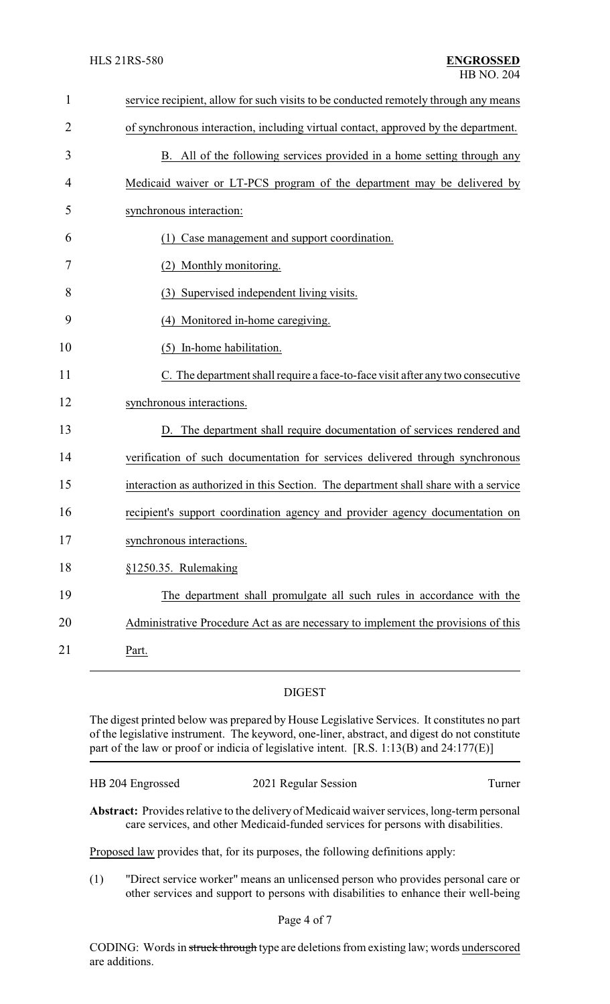| $\mathbf{1}$   | service recipient, allow for such visits to be conducted remotely through any means  |
|----------------|--------------------------------------------------------------------------------------|
| $\overline{2}$ | of synchronous interaction, including virtual contact, approved by the department.   |
| 3              | B. All of the following services provided in a home setting through any              |
| 4              | Medicaid waiver or LT-PCS program of the department may be delivered by              |
| 5              | synchronous interaction:                                                             |
| 6              | (1) Case management and support coordination.                                        |
| 7              | Monthly monitoring.<br>(2)                                                           |
| 8              | (3) Supervised independent living visits.                                            |
| 9              | (4) Monitored in-home caregiving.                                                    |
| 10             | (5) In-home habilitation.                                                            |
| 11             | C. The department shall require a face-to-face visit after any two consecutive       |
| 12             | synchronous interactions.                                                            |
| 13             | D. The department shall require documentation of services rendered and               |
| 14             | verification of such documentation for services delivered through synchronous        |
| 15             | interaction as authorized in this Section. The department shall share with a service |
| 16             | recipient's support coordination agency and provider agency documentation on         |
| 17             | synchronous interactions.                                                            |
| 18             | §1250.35. Rulemaking                                                                 |
| 19             | The department shall promulgate all such rules in accordance with the                |
| 20             | Administrative Procedure Act as are necessary to implement the provisions of this    |
| 21             | Part.                                                                                |

# DIGEST

The digest printed below was prepared by House Legislative Services. It constitutes no part of the legislative instrument. The keyword, one-liner, abstract, and digest do not constitute part of the law or proof or indicia of legislative intent. [R.S. 1:13(B) and 24:177(E)]

| HB 204 Engrossed | 2021 Regular Session | Turner |
|------------------|----------------------|--------|
|                  |                      |        |

**Abstract:** Provides relative to the delivery of Medicaid waiver services, long-term personal care services, and other Medicaid-funded services for persons with disabilities.

Proposed law provides that, for its purposes, the following definitions apply:

(1) "Direct service worker" means an unlicensed person who provides personal care or other services and support to persons with disabilities to enhance their well-being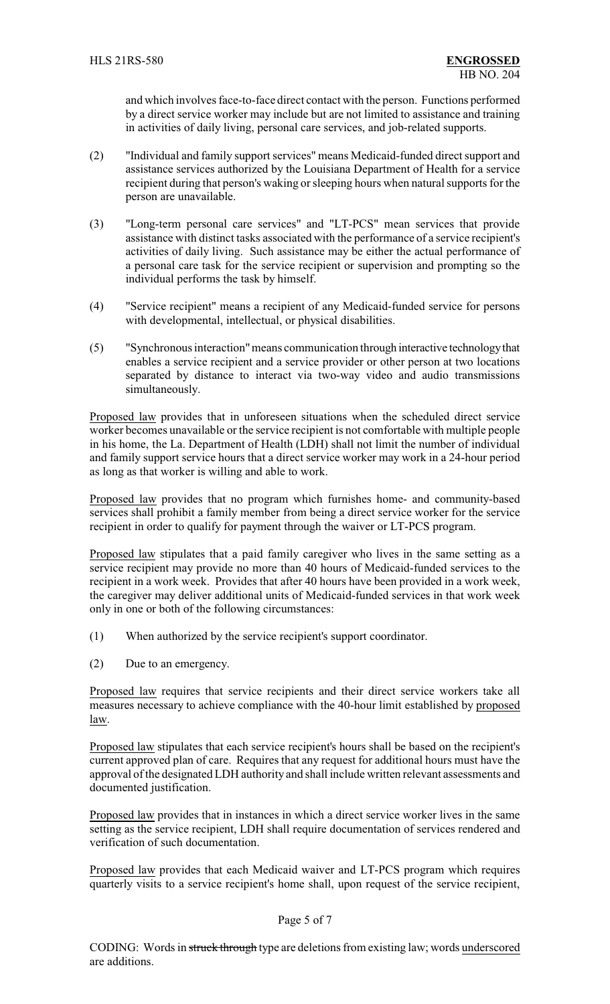and which involves face-to-face direct contact with the person. Functions performed by a direct service worker may include but are not limited to assistance and training in activities of daily living, personal care services, and job-related supports.

- (2) "Individual and family support services" means Medicaid-funded direct support and assistance services authorized by the Louisiana Department of Health for a service recipient during that person's waking or sleeping hours when natural supports for the person are unavailable.
- (3) "Long-term personal care services" and "LT-PCS" mean services that provide assistance with distinct tasks associated with the performance of a service recipient's activities of daily living. Such assistance may be either the actual performance of a personal care task for the service recipient or supervision and prompting so the individual performs the task by himself.
- (4) "Service recipient" means a recipient of any Medicaid-funded service for persons with developmental, intellectual, or physical disabilities.
- (5) "Synchronous interaction"means communication through interactive technologythat enables a service recipient and a service provider or other person at two locations separated by distance to interact via two-way video and audio transmissions simultaneously.

Proposed law provides that in unforeseen situations when the scheduled direct service worker becomes unavailable or the service recipient is not comfortable with multiple people in his home, the La. Department of Health (LDH) shall not limit the number of individual and family support service hours that a direct service worker may work in a 24-hour period as long as that worker is willing and able to work.

Proposed law provides that no program which furnishes home- and community-based services shall prohibit a family member from being a direct service worker for the service recipient in order to qualify for payment through the waiver or LT-PCS program.

Proposed law stipulates that a paid family caregiver who lives in the same setting as a service recipient may provide no more than 40 hours of Medicaid-funded services to the recipient in a work week. Provides that after 40 hours have been provided in a work week, the caregiver may deliver additional units of Medicaid-funded services in that work week only in one or both of the following circumstances:

- (1) When authorized by the service recipient's support coordinator.
- (2) Due to an emergency.

Proposed law requires that service recipients and their direct service workers take all measures necessary to achieve compliance with the 40-hour limit established by proposed law.

Proposed law stipulates that each service recipient's hours shall be based on the recipient's current approved plan of care. Requires that any request for additional hours must have the approval of the designated LDH authority and shall include written relevant assessments and documented justification.

Proposed law provides that in instances in which a direct service worker lives in the same setting as the service recipient, LDH shall require documentation of services rendered and verification of such documentation.

Proposed law provides that each Medicaid waiver and LT-PCS program which requires quarterly visits to a service recipient's home shall, upon request of the service recipient,

#### Page 5 of 7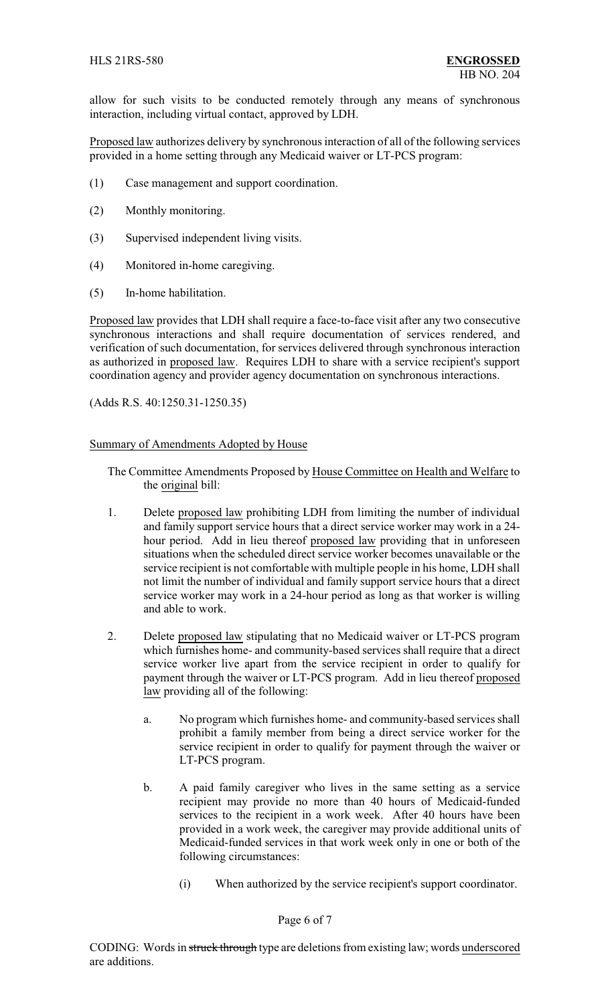allow for such visits to be conducted remotely through any means of synchronous interaction, including virtual contact, approved by LDH.

Proposed law authorizes delivery by synchronous interaction of all of the following services provided in a home setting through any Medicaid waiver or LT-PCS program:

- (1) Case management and support coordination.
- (2) Monthly monitoring.
- (3) Supervised independent living visits.
- (4) Monitored in-home caregiving.
- (5) In-home habilitation.

Proposed law provides that LDH shall require a face-to-face visit after any two consecutive synchronous interactions and shall require documentation of services rendered, and verification of such documentation, for services delivered through synchronous interaction as authorized in proposed law. Requires LDH to share with a service recipient's support coordination agency and provider agency documentation on synchronous interactions.

(Adds R.S. 40:1250.31-1250.35)

#### Summary of Amendments Adopted by House

- The Committee Amendments Proposed by House Committee on Health and Welfare to the original bill:
- 1. Delete proposed law prohibiting LDH from limiting the number of individual and family support service hours that a direct service worker may work in a 24 hour period. Add in lieu thereof proposed law providing that in unforeseen situations when the scheduled direct service worker becomes unavailable or the service recipient is not comfortable with multiple people in his home, LDH shall not limit the number of individual and family support service hours that a direct service worker may work in a 24-hour period as long as that worker is willing and able to work.
- 2. Delete proposed law stipulating that no Medicaid waiver or LT-PCS program which furnishes home- and community-based services shall require that a direct service worker live apart from the service recipient in order to qualify for payment through the waiver or LT-PCS program. Add in lieu thereof proposed law providing all of the following:
	- a. No program which furnishes home- and community-based services shall prohibit a family member from being a direct service worker for the service recipient in order to qualify for payment through the waiver or LT-PCS program.
	- b. A paid family caregiver who lives in the same setting as a service recipient may provide no more than 40 hours of Medicaid-funded services to the recipient in a work week. After 40 hours have been provided in a work week, the caregiver may provide additional units of Medicaid-funded services in that work week only in one or both of the following circumstances:
		- (i) When authorized by the service recipient's support coordinator.

#### Page 6 of 7